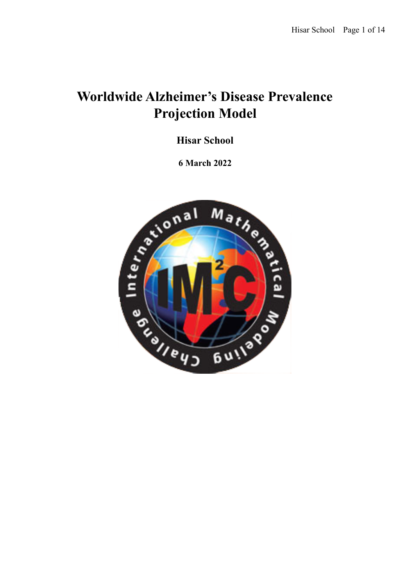# **Worldwide Alzheimer's Disease Prevalence Projection Model**

**Hisar School**

**6 March 2022**

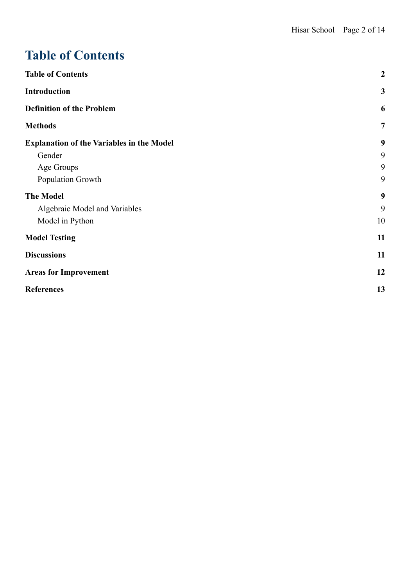# <span id="page-1-0"></span>**Table of Contents**

| <b>Table of Contents</b>                         | $\boldsymbol{2}$ |
|--------------------------------------------------|------------------|
| <b>Introduction</b>                              | $\mathbf{3}$     |
| <b>Definition of the Problem</b>                 | 6                |
| <b>Methods</b>                                   | $\overline{7}$   |
| <b>Explanation of the Variables in the Model</b> | 9                |
| Gender                                           | 9                |
| Age Groups                                       | 9                |
| Population Growth                                | 9                |
| <b>The Model</b>                                 | 9                |
| Algebraic Model and Variables                    | 9                |
| Model in Python                                  | 10               |
| <b>Model Testing</b>                             | 11               |
| <b>Discussions</b>                               | 11               |
| <b>Areas for Improvement</b>                     | 12               |
| <b>References</b>                                | 13               |
|                                                  |                  |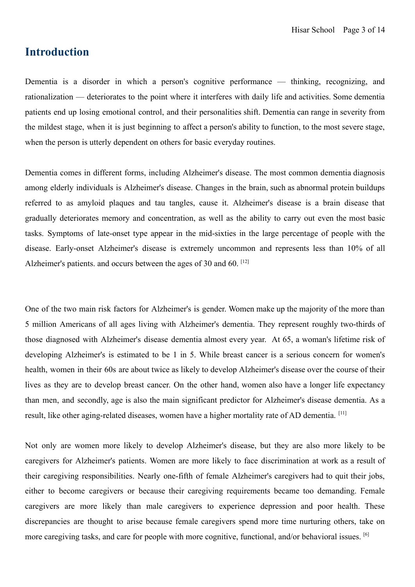## <span id="page-2-0"></span>**Introduction**

Dementia is a disorder in which a person's cognitive performance — thinking, recognizing, and rationalization — deteriorates to the point where it interferes with daily life and activities. Some dementia patients end up losing emotional control, and their personalities shift. Dementia can range in severity from the mildest stage, when it is just beginning to affect a person's ability to function, to the most severe stage, when the person is utterly dependent on others for basic everyday routines.

Dementia comes in different forms, including Alzheimer's disease. The most common dementia diagnosis among elderly individuals is Alzheimer's disease. Changes in the brain, such as abnormal protein buildups referred to as amyloid plaques and tau tangles, cause it. Alzheimer's disease is a brain disease that gradually deteriorates memory and concentration, as well as the ability to carry out even the most basic tasks. Symptoms of late-onset type appear in the mid-sixties in the large percentage of people with the disease. Early-onset Alzheimer's disease is extremely uncommon and represents less than 10% of all Alzheimer's patients. and occurs between the ages of 30 and 60. [12]

One of the two main risk factors for Alzheimer's is gender. Women make up the majority of the more than 5 million Americans of all ages living with Alzheimer's dementia. They represent roughly two-thirds of those diagnosed with Alzheimer's disease dementia almost every year. At 65, a woman's lifetime risk of developing Alzheimer's is estimated to be 1 in 5. While breast cancer is a serious concern for women's health, women in their 60s are about twice as likely to develop Alzheimer's disease over the course of their lives as they are to develop breast cancer. On the other hand, women also have a longer life expectancy than men, and secondly, age is also the main significant predictor for Alzheimer's disease dementia. As a result, like other aging-related diseases, women have a higher mortality rate of AD dementia. [11]

Not only are women more likely to develop Alzheimer's disease, but they are also more likely to be caregivers for Alzheimer's patients. Women are more likely to face discrimination at work as a result of their caregiving responsibilities. Nearly one-fifth of female Alzheimer's caregivers had to quit their jobs, either to become caregivers or because their caregiving requirements became too demanding. Female caregivers are more likely than male caregivers to experience depression and poor health. These discrepancies are thought to arise because female caregivers spend more time nurturing others, take on more caregiving tasks, and care for people with more cognitive, functional, and/or behavioral issues. [6]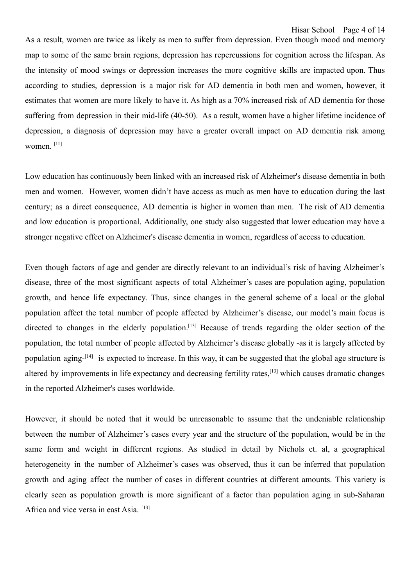As a result, women are twice as likely as men to suffer from depression. Even though mood and memory map to some of the same brain regions, depression has repercussions for cognition across the lifespan. As the intensity of mood swings or depression increases the more cognitive skills are impacted upon. Thus according to studies, depression is a major risk for AD dementia in both men and women, however, it estimates that women are more likely to have it. As high as a 70% increased risk of AD dementia for those suffering from depression in their mid-life (40-50). As a result, women have a higher lifetime incidence of depression, a diagnosis of depression may have a greater overall impact on AD dementia risk among women. [11]

Low education has continuously been linked with an increased risk of Alzheimer's disease dementia in both men and women. However, women didn't have access as much as men have to education during the last century; as a direct consequence, AD dementia is higher in women than men. The risk of AD dementia and low education is proportional. Additionally, one study also suggested that lower education may have a stronger negative effect on Alzheimer's disease dementia in women, regardless of access to education.

Even though factors of age and gender are directly relevant to an individual's risk of having Alzheimer's disease, three of the most significant aspects of total Alzheimer's cases are population aging, population growth, and hence life expectancy. Thus, since changes in the general scheme of a local or the global population affect the total number of people affected by Alzheimer's disease, our model's main focus is directed to changes in the elderly population.<sup>[13]</sup> Because of trends regarding the older section of the population, the total number of people affected by Alzheimer's disease globally -as it is largely affected by population aging-<sup>[14]</sup> is expected to increase. In this way, it can be suggested that the global age structure is altered by improvements in life expectancy and decreasing fertility rates,<sup>[13]</sup> which causes dramatic changes in the reported Alzheimer's cases worldwide.

However, it should be noted that it would be unreasonable to assume that the undeniable relationship between the number of Alzheimer's cases every year and the structure of the population, would be in the same form and weight in different regions. As studied in detail by Nichols et. al, a geographical heterogeneity in the number of Alzheimer's cases was observed, thus it can be inferred that population growth and aging affect the number of cases in different countries at different amounts. This variety is clearly seen as population growth is more significant of a factor than population aging in sub-Saharan Africa and vice versa in east Asia.<sup>[13]</sup>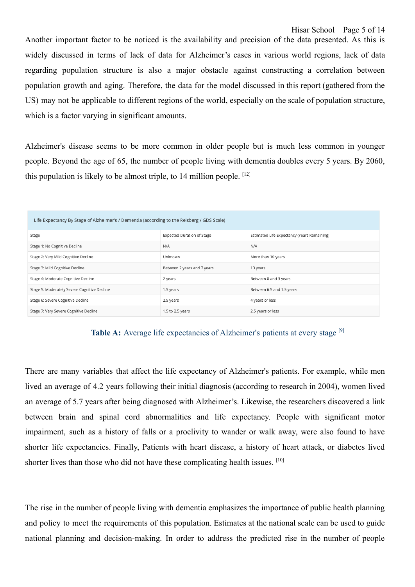Another important factor to be noticed is the availability and precision of the data presented. As this is widely discussed in terms of lack of data for Alzheimer's cases in various world regions, lack of data regarding population structure is also a major obstacle against constructing a correlation between population growth and aging. Therefore, the data for the model discussed in this report (gathered from the US) may not be applicable to different regions of the world, especially on the scale of population structure, which is a factor varying in significant amounts.

Alzheimer's disease seems to be more common in older people but is much less common in younger people. Beyond the age of 65, the number of people living with dementia doubles every 5 years. By 2060, this population is likely to be almost triple, to  $14$  million people.  $[12]$ 

| Life Expectancy By Stage of Alzheimer's / Dementia (according to the Reisberg / GDS Scale) |                                   |                                             |  |  |  |
|--------------------------------------------------------------------------------------------|-----------------------------------|---------------------------------------------|--|--|--|
| Stage                                                                                      | <b>Expected Duration of Stage</b> | Estimated Life Expectancy (Years Remaining) |  |  |  |
| Stage 1: No Cognitive Decline                                                              | N/A                               | N/A                                         |  |  |  |
| Stage 2: Very Mild Cognitive Decline                                                       | Unknown                           | More than 10 years                          |  |  |  |
| Stage 3: Mild Cognitive Decline                                                            | Between 2 years and 7 years       | 10 years                                    |  |  |  |
| Stage 4: Moderate Cognitive Decline                                                        | 2 years                           | Between 8 and 3 years                       |  |  |  |
| Stage 5: Moderately Severe Cognitive Decline                                               | 1.5 years                         | Between 6.5 and 1.5 years                   |  |  |  |
| Stage 6: Severe Cognitive Decline                                                          | 2.5 years                         | 4 years or less                             |  |  |  |
| Stage 7: Very Severe Cognitive Decline                                                     | 1.5 to 2.5 years                  | 2.5 years or less                           |  |  |  |



There are many variables that affect the life expectancy of Alzheimer's patients. For example, while men lived an average of 4.2 years following their initial diagnosis (according to research in 2004), women lived an average of 5.7 years after being diagnosed with Alzheimer's. Likewise, the researchers discovered a link between brain and spinal cord abnormalities and life expectancy. People with significant motor impairment, such as a history of falls or a proclivity to wander or walk away, were also found to have shorter life expectancies. Finally, Patients with heart disease, a history of heart attack, or diabetes lived shorter lives than those who did not have these complicating health issues. [10]

The rise in the number of people living with dementia emphasizes the importance of public health planning and policy to meet the requirements of this population. Estimates at the national scale can be used to guide national planning and decision-making. In order to address the predicted rise in the number of people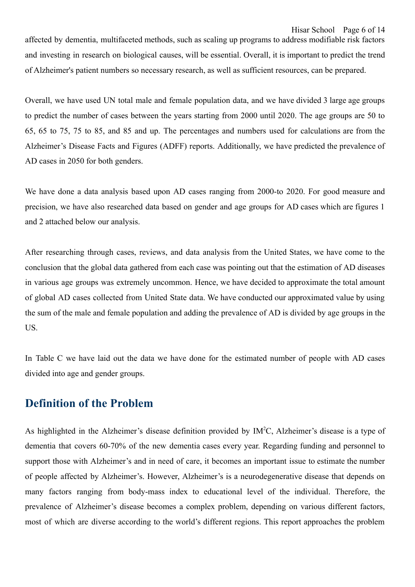Hisar School Page 6 of 14

affected by dementia, multifaceted methods, such as scaling up programs to address modifiable risk factors and investing in research on biological causes, will be essential. Overall, it is important to predict the trend of Alzheimer's patient numbers so necessary research, as well as sufficient resources, can be prepared.

Overall, we have used UN total male and female population data, and we have divided 3 large age groups to predict the number of cases between the years starting from 2000 until 2020. The age groups are 50 to 65, 65 to 75, 75 to 85, and 85 and up. The percentages and numbers used for calculations are from the Alzheimer's Disease Facts and Figures (ADFF) reports. Additionally, we have predicted the prevalence of AD cases in 2050 for both genders.

We have done a data analysis based upon AD cases ranging from 2000-to 2020. For good measure and precision, we have also researched data based on gender and age groups for AD cases which are figures 1 and 2 attached below our analysis.

After researching through cases, reviews, and data analysis from the United States, we have come to the conclusion that the global data gathered from each case was pointing out that the estimation of AD diseases in various age groups was extremely uncommon. Hence, we have decided to approximate the total amount of global AD cases collected from United State data. We have conducted our approximated value by using the sum of the male and female population and adding the prevalence of AD is divided by age groups in the US.

In Table C we have laid out the data we have done for the estimated number of people with AD cases divided into age and gender groups.

## <span id="page-5-0"></span>**Definition of the Problem**

As highlighted in the Alzheimer's disease definition provided by IM<sup>2</sup>C, Alzheimer's disease is a type of dementia that covers 60-70% of the new dementia cases every year. Regarding funding and personnel to support those with Alzheimer's and in need of care, it becomes an important issue to estimate the number of people affected by Alzheimer's. However, Alzheimer's is a neurodegenerative disease that depends on many factors ranging from body-mass index to educational level of the individual. Therefore, the prevalence of Alzheimer's disease becomes a complex problem, depending on various different factors, most of which are diverse according to the world's different regions. This report approaches the problem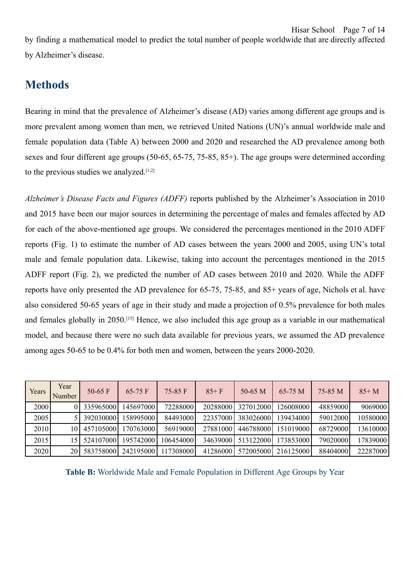by finding a mathematical model to predict the total number of people worldwide that are directly affected by Alzheimer's disease.

## <span id="page-6-0"></span>**Methods**

Bearing in mind that the prevalence of Alzheimer's disease (AD) varies among different age groups and is more prevalent among women than men, we retrieved United Nations (UN)'s annual worldwide male and female population data (Table A) between 2000 and 2020 and researched the AD prevalence among both sexes and four different age groups (50-65, 65-75, 75-85, 85+). The age groups were determined according to the previous studies we analyzed. $[1,2]$ 

*Alzheimer's Disease Facts and Figures (ADFF)* reports published by the Alzheimer's Association in 2010 and 2015 have been our major sources in determining the percentage of males and females affected by AD for each of the above-mentioned age groups. We considered the percentages mentioned in the 2010 ADFF reports (Fig. 1) to estimate the number of AD cases between the years 2000 and 2005, using UN's total male and female population data. Likewise, taking into account the percentages mentioned in the 2015 ADFF report (Fig. 2), we predicted the number of AD cases between 2010 and 2020. While the ADFF reports have only presented the AD prevalence for 65-75, 75-85, and 85+ years of age, Nichols et al. have also considered 50-65 years of age in their study and made a projection of 0.5% prevalence for both males and females globally in 2050.[15] Hence, we also included this age group as a variable in our mathematical model, and because there were no such data available for previous years, we assumed the AD prevalence among ages 50-65 to be 0.4% for both men and women, between the years 2000-2020.

| Years | Year<br>Number | 50-65 $F$  | $65-75$ F | $75-85$ F | $85 + F$ | $50-65$ M  | $65-75 M$  | 75-85 M  | $85+M$   |
|-------|----------------|------------|-----------|-----------|----------|------------|------------|----------|----------|
| 2000  |                | 335965000  | 145697000 | 72288000  | 20288000 | 327012000  | 1260080001 | 48859000 | 9069000  |
| 2005  |                | 3920300001 | 158995000 | 84493000  | 22357000 | 3830260001 | 139434000  | 59012000 | 10580000 |
| 2010  | 10             | 457105000  | 170763000 | 56919000  | 27881000 | 4467880001 | 151019000  | 68729000 | 13610000 |
| 2015  | 15             | 5241070001 | 195742000 | 106454000 | 34639000 | 5131220001 | 1738530001 | 79020000 | 17839000 |
| 2020  | 20             | 583758000  | 242195000 | 117308000 | 41286000 | 572005000  | 216125000  | 88404000 | 22287000 |

**Table B:** Worldwide Male and Female Population in Different Age Groups by Year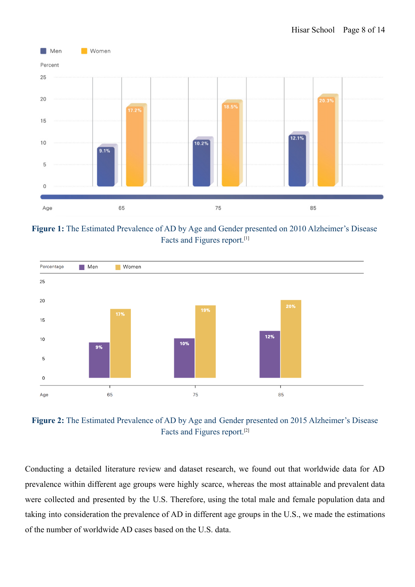

**Figure 1:** The Estimated Prevalence of AD by Age and Gender presented on 2010 Alzheimer's Disease Facts and Figures report.[1]



**Figure 2:** The Estimated Prevalence of AD by Age and Gender presented on 2015 Alzheimer's Disease Facts and Figures report.[2]

Conducting a detailed literature review and dataset research, we found out that worldwide data for AD prevalence within different age groups were highly scarce, whereas the most attainable and prevalent data were collected and presented by the U.S. Therefore, using the total male and female population data and taking into consideration the prevalence of AD in different age groups in the U.S., we made the estimations of the number of worldwide AD cases based on the U.S. data.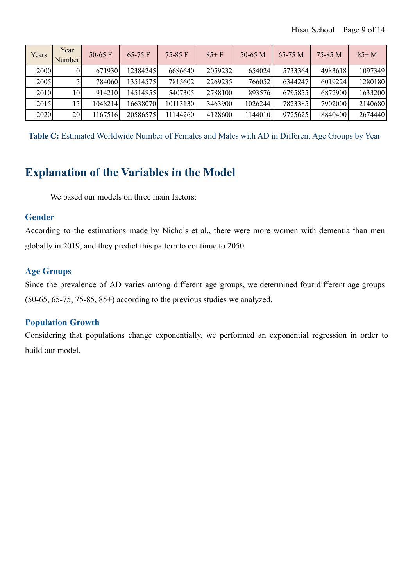| Years | Year<br>Number  | 50-65 $F$ | $65-75$ F | $75-85$ F | $85 + F$ | $50-65$ M | 65-75 M | 75-85 M | $85+M$  |
|-------|-----------------|-----------|-----------|-----------|----------|-----------|---------|---------|---------|
| 2000  |                 | 671930    | 12384245  | 6686640   | 2059232  | 654024    | 5733364 | 4983618 | 1097349 |
| 2005  |                 | 7840601   | 135145751 | 7815602   | 2269235  | 766052    | 6344247 | 6019224 | 1280180 |
| 2010  | 10 <sub>1</sub> | 914210    | 145148551 | 5407305   | 2788100  | 893576    | 6795855 | 6872900 | 1633200 |
| 2015  | 15              | 1048214   | 166380701 | 10113130  | 3463900  | 1026244   | 7823385 | 7902000 | 2140680 |
| 2020  | 20              | 1167516   | 20586575  | 11144260  | 4128600  | 1144010   | 9725625 | 8840400 | 2674440 |

**Table C:** Estimated Worldwide Number of Females and Males with AD in Different Age Groups by Year

## <span id="page-8-0"></span>**Explanation of the Variables in the Model**

We based our models on three main factors:

### <span id="page-8-1"></span>**Gender**

According to the estimations made by Nichols et al., there were more women with dementia than men globally in 2019, and they predict this pattern to continue to 2050.

### <span id="page-8-2"></span>**Age Groups**

Since the prevalence of AD varies among different age groups, we determined four different age groups (50-65, 65-75, 75-85, 85+) according to the previous studies we analyzed.

### <span id="page-8-3"></span>**Population Growth**

Considering that populations change exponentially, we performed an exponential regression in order to build our model.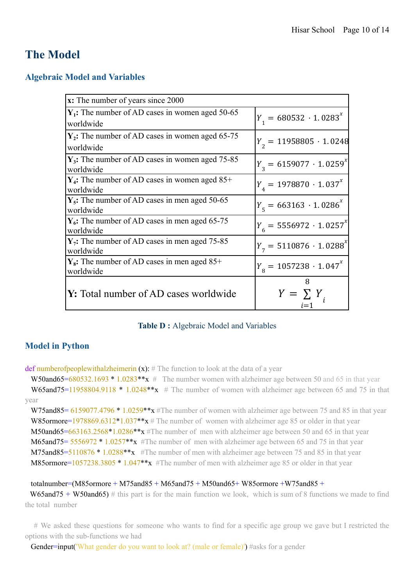## **The Model**

### <span id="page-9-0"></span>**Algebraic Model and Variables**

| x: The number of years since 2000                               |                                       |
|-----------------------------------------------------------------|---------------------------------------|
| $Y_1$ : The number of AD cases in women aged 50-65<br>worldwide | $Y_1 = 680532 \cdot 1.0283^{x}$       |
| $Y_2$ : The number of AD cases in women aged 65-75<br>worldwide | $Y_{2} = 11958805 \cdot 1.0248$       |
| $Y_3$ : The number of AD cases in women aged 75-85<br>worldwide | $Y_2 = 6159077 \cdot 1.0259^{x}$      |
| $Y_4$ : The number of AD cases in women aged 85+<br>worldwide   | $Y_{4} = 1978870 \cdot 1.037^{x}$     |
| $Y_s$ : The number of AD cases in men aged 50-65<br>worldwide   | $Y_{\rm g} = 663163 \cdot 1.0286^{x}$ |
| $Y_6$ : The number of AD cases in men aged 65-75<br>worldwide   | $Y_c = 5556972 \cdot 1.0257^x$        |
| $Y_7$ : The number of AD cases in men aged 75-85<br>worldwide   | $Y_{7} = 5110876 \cdot 1.0288^{x}$    |
| $Y_8$ : The number of AD cases in men aged 85+<br>worldwide     | $Y_{\rm g} = 1057238 \cdot 1.047^{x}$ |
| <b>Y:</b> Total number of AD cases worldwide                    | 8<br>$Y = \sum Y$                     |

### **Table D :** Algebraic Model and Variables

### <span id="page-9-1"></span>**Model in Python**

def numberofpeoplewithalzheimerin  $(x)$ : # The function to look at the data of a year

W50and65=680532.1693 \* 1.0283\*\*x  $\#$  The number women with alzheimer age between 50 and 65 in that year W65and75=11958804.9118  $*$  1.0248 $**$ x # The number of women with alzheimer age between 65 and 75 in that year

W75and85= 6159077.4796 \* 1.0259\*\*x #The number of women with alzheimer age between 75 and 85 in that year W85ormore=1978869.6312\*1.037\*\* $x \#$  The number of women with alzheimer age 85 or older in that year  $M50$ and65=663163.2568\*1.0286\*\*\* $\star$  #The number of men with alzheimer age between 50 and 65 in that year M65and75= 5556972 \* 1.0257\*\*x #The number of men with alzheimer age between 65 and 75 in that year M75and85=5110876 \* 1.0288\*\*x #The number of men with alzheimer age between 75 and 85 in that year M85ormore=1057238.3805 \* 1.047\*\*x #The number of men with alzheimer age 85 or older in that year

#### totalnumber=(M85ormore + M75and85 + M65and75 + M50and65 + W85ormore + W75and85 +

 $W65$ and75 + W50and65) # this part is for the main function we look, which is sum of 8 functions we made to find the total number

# We asked these questions for someone who wants to find for a specific age group we gave but I restricted the options with the sub-functions we had

Gender=input('What gender do you want to look at? (male or female)') #asks for a gender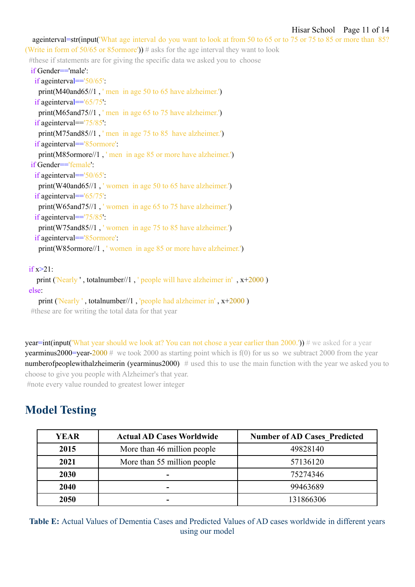ageinterval=str(input('What age interval do you want to look at from 50 to 65 or to 75 or 75 to 85 or more than 85? (Write in form of 50/65 or 85ormore'))  $\#$  asks for the age interval they want to look

#these if statements are for giving the specific data we asked you to choose

if Gender=='male': if ageinterval=='50/65': print(M40and65//1 , ' men in age 50 to 65 have alzheimer.') if ageinterval=='65/75': print(M65and75//1 , ' men in age 65 to 75 have alzheimer.') if ageinterval=='75/85': print(M75and85//1, ' men in age 75 to 85 have alzheimer.') if ageinterval=='85ormore': print(M85ormore//1 , ' men in age 85 or more have alzheimer.') if Gender=='female': if ageinterval=='50/65': print(W40and65//1 , ' women in age 50 to 65 have alzheimer.') if ageinterval=='65/75': print(W65and75//1, 'women in age 65 to 75 have alzheimer.') if ageinterval=='75/85': print(W75and85//1 , ' women in age 75 to 85 have alzheimer.') if ageinterval=='85ormore': print(W85ormore//1 , ' women in age 85 or more have alzheimer.')  $if x > 21$ : print ('Nearly ' , totalnumber//1 , ' people will have alzheimer in' , x+2000 ) else: print ('Nearly ' , totalnumber//1 , 'people had alzheimer in' , x+2000 ) #these are for writing the total data for that year

**year=int(input('What year should we look at? You can not chose a year earlier than 2000.'))** # we asked for a year **yearminus2000=year-2000** # we took 2000 as starting point which is  $f(0)$  for us so we subtract 2000 from the year numberofpeoplewithalzheimerin (vearminus2000)  $\#$  used this to use the main function with the year we asked you to choose to give you people with Alzheimer's that year.

<span id="page-10-0"></span>#note every value rounded to greatest lower integer

## **Model Testing**

| <b>YEAR</b> | <b>Actual AD Cases Worldwide</b> | <b>Number of AD Cases Predicted</b> |
|-------------|----------------------------------|-------------------------------------|
| 2015        | More than 46 million people      | 49828140                            |
| 2021        | More than 55 million people      | 57136120                            |
| 2030        |                                  | 75274346                            |
| 2040        |                                  | 99463689                            |
| 2050        |                                  | 131866306                           |

**Table E:** Actual Values of Dementia Cases and Predicted Values of AD cases worldwide in different years using our model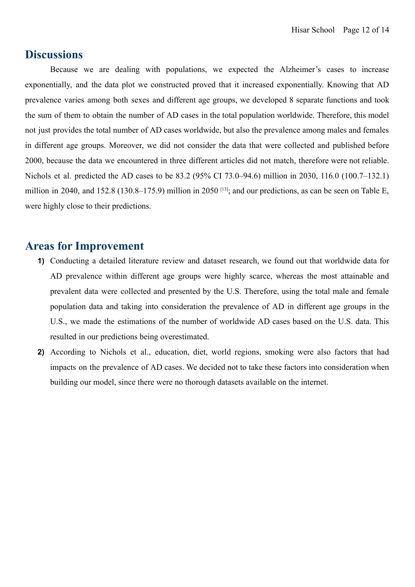## <span id="page-11-0"></span>**Discussions**

Because we are dealing with populations, we expected the Alzheimer's cases to increase exponentially, and the data plot we constructed proved that it increased exponentially. Knowing that AD prevalence varies among both sexes and different age groups, we developed 8 separate functions and took the sum of them to obtain the number of AD cases in the total population worldwide. Therefore, this model not just provides the total number of AD cases worldwide, but also the prevalence among males and females in different age groups. Moreover, we did not consider the data that were collected and published before 2000, because the data we encountered in three different articles did not match, therefore were not reliable. Nichols et al. predicted the AD cases to be 83.2 (95% CI 73.0–94.6) million in 2030, 116.0 (100.7–132.1) million in 2040, and 152.8 (130.8–175.9) million in 2050  $^{[13]}$ ; and our predictions, as can be seen on Table E, were highly close to their predictions.

## <span id="page-11-1"></span>**Areas for Improvement**

- **1)** Conducting a detailed literature review and dataset research, we found out that worldwide data for AD prevalence within different age groups were highly scarce, whereas the most attainable and prevalent data were collected and presented by the U.S. Therefore, using the total male and female population data and taking into consideration the prevalence of AD in different age groups in the U.S., we made the estimations of the number of worldwide AD cases based on the U.S. data. This resulted in our predictions being overestimated.
- **2)** According to Nichols et al., education, diet, world regions, smoking were also factors that had impacts on the prevalence of AD cases. We decided not to take these factors into consideration when building our model, since there were no thorough datasets available on the internet.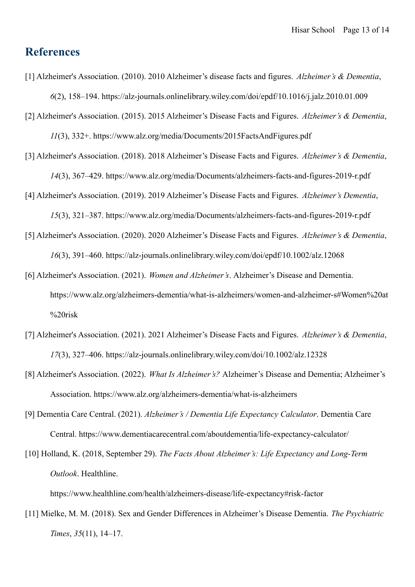## <span id="page-12-0"></span>**References**

- [1] Alzheimer's Association. (2010). 2010 Alzheimer's disease facts and figures. *Alzheimer's & Dementia*, *6*(2), 158–194. https://alz-journals.onlinelibrary.wiley.com/doi/epdf/10.1016/j.jalz.2010.01.009
- [2] Alzheimer's Association. (2015). 2015 Alzheimer's Disease Facts and Figures. *Alzheimer's & Dementia*, *11*(3), 332+. https://www.alz.org/media/Documents/2015FactsAndFigures.pdf
- [3] Alzheimer's Association. (2018). 2018 Alzheimer's Disease Facts and Figures. *Alzheimer's & Dementia*, *14*(3), 367–429. https://www.alz.org/media/Documents/alzheimers-facts-and-figures-2019-r.pdf
- [4] Alzheimer's Association. (2019). 2019 Alzheimer's Disease Facts and Figures. *Alzheimer's Dementia*, *15*(3), 321–387. https://www.alz.org/media/Documents/alzheimers-facts-and-figures-2019-r.pdf
- [5] Alzheimer's Association. (2020). 2020 Alzheimer's Disease Facts and Figures. *Alzheimer's & Dementia*, *16*(3), 391–460. https://alz-journals.onlinelibrary.wiley.com/doi/epdf/10.1002/alz.12068
- [6] Alzheimer's Association. (2021). *Women and Alzheimer's*. Alzheimer's Disease and Dementia. https://www.alz.org/alzheimers-dementia/what-is-alzheimers/women-and-alzheimer-s#Women%20at %20risk
- [7] Alzheimer's Association. (2021). 2021 Alzheimer's Disease Facts and Figures. *Alzheimer's & Dementia*, *17*(3), 327–406. https://alz-journals.onlinelibrary.wiley.com/doi/10.1002/alz.12328
- [8] Alzheimer's Association. (2022). *What Is Alzheimer's?* Alzheimer's Disease and Dementia; Alzheimer's Association. https://www.alz.org/alzheimers-dementia/what-is-alzheimers
- [9] Dementia Care Central. (2021). *Alzheimer's / Dementia Life Expectancy Calculator*. Dementia Care Central. https://www.dementiacarecentral.com/aboutdementia/life-expectancy-calculator/
- [10] Holland, K. (2018, September 29). *The Facts About Alzheimer's: Life Expectancy and Long-Term Outlook*. Healthline.

https://www.healthline.com/health/alzheimers-disease/life-expectancy#risk-factor

[11] Mielke, M. M. (2018). Sex and Gender Differences in Alzheimer's Disease Dementia. *The Psychiatric Times*, *35*(11), 14–17.